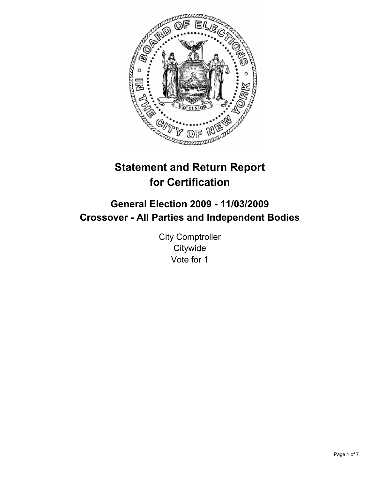

# **Statement and Return Report for Certification**

## **General Election 2009 - 11/03/2009 Crossover - All Parties and Independent Bodies**

City Comptroller **Citywide** Vote for 1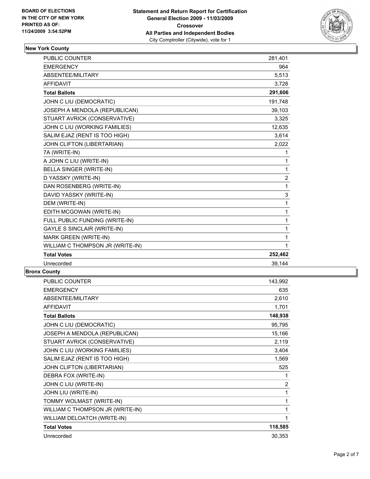

## **New York County**

| <b>PUBLIC COUNTER</b>              | 281,401        |
|------------------------------------|----------------|
| <b>EMERGENCY</b>                   | 964            |
| <b>ABSENTEE/MILITARY</b>           | 5,513          |
| <b>AFFIDAVIT</b>                   | 3,728          |
| <b>Total Ballots</b>               | 291,606        |
| JOHN C LIU (DEMOCRATIC)            | 191,748        |
| JOSEPH A MENDOLA (REPUBLICAN)      | 39,103         |
| STUART AVRICK (CONSERVATIVE)       | 3,325          |
| JOHN C LIU (WORKING FAMILIES)      | 12,635         |
| SALIM EJAZ (RENT IS TOO HIGH)      | 3,614          |
| JOHN CLIFTON (LIBERTARIAN)         | 2,022          |
| 7A (WRITE-IN)                      | 1              |
| A JOHN C LIU (WRITE-IN)            | 1              |
| BELLA SINGER (WRITE-IN)            | 1              |
| D YASSKY (WRITE-IN)                | $\overline{2}$ |
| DAN ROSENBERG (WRITE-IN)           | 1              |
| DAVID YASSKY (WRITE-IN)            | 3              |
| DEM (WRITE-IN)                     | 1              |
| EDITH MCGOWAN (WRITE-IN)           | 1              |
| FULL PUBLIC FUNDING (WRITE-IN)     | 1              |
| <b>GAYLE S SINCLAIR (WRITE-IN)</b> | 1              |
| MARK GREEN (WRITE-IN)              | 1              |
| WILLIAM C THOMPSON JR (WRITE-IN)   | 1              |
| <b>Total Votes</b>                 | 252,462        |
| Unrecorded                         | 39,144         |

### **Bronx County**

| <b>PUBLIC COUNTER</b>            | 143,992        |
|----------------------------------|----------------|
| <b>EMERGENCY</b>                 | 635            |
| ABSENTEE/MILITARY                | 2,610          |
| <b>AFFIDAVIT</b>                 | 1,701          |
| <b>Total Ballots</b>             | 148,938        |
| JOHN C LIU (DEMOCRATIC)          | 95,795         |
| JOSEPH A MENDOLA (REPUBLICAN)    | 15,166         |
| STUART AVRICK (CONSERVATIVE)     | 2,119          |
| JOHN C LIU (WORKING FAMILIES)    | 3,404          |
| SALIM EJAZ (RENT IS TOO HIGH)    | 1,569          |
| JOHN CLIFTON (LIBERTARIAN)       | 525            |
| DEBRA FOX (WRITE-IN)             | 1              |
| JOHN C LIU (WRITE-IN)            | $\overline{2}$ |
| JOHN LIU (WRITE-IN)              | 1              |
| TOMMY WOLMAST (WRITE-IN)         | 1              |
| WILLIAM C THOMPSON JR (WRITE-IN) | 1              |
| WILLIAM DELOATCH (WRITE-IN)      | 1              |
| <b>Total Votes</b>               | 118,585        |
| Unrecorded                       | 30,353         |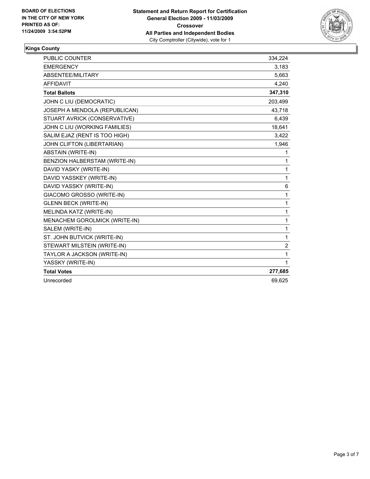

## **Kings County**

| <b>PUBLIC COUNTER</b>         | 334,224 |
|-------------------------------|---------|
| <b>EMERGENCY</b>              | 3,183   |
| ABSENTEE/MILITARY             | 5,663   |
| <b>AFFIDAVIT</b>              | 4,240   |
| <b>Total Ballots</b>          | 347,310 |
| JOHN C LIU (DEMOCRATIC)       | 203,499 |
| JOSEPH A MENDOLA (REPUBLICAN) | 43,718  |
| STUART AVRICK (CONSERVATIVE)  | 6,439   |
| JOHN C LIU (WORKING FAMILIES) | 18,641  |
| SALIM EJAZ (RENT IS TOO HIGH) | 3,422   |
| JOHN CLIFTON (LIBERTARIAN)    | 1,946   |
| <b>ABSTAIN (WRITE-IN)</b>     | 1       |
| BENZION HALBERSTAM (WRITE-IN) | 1       |
| DAVID YASKY (WRITE-IN)        | 1       |
| DAVID YASSKEY (WRITE-IN)      | 1       |
| DAVID YASSKY (WRITE-IN)       | 6       |
| GIACOMO GROSSO (WRITE-IN)     | 1       |
| <b>GLENN BECK (WRITE-IN)</b>  | 1       |
| MELINDA KATZ (WRITE-IN)       | 1       |
| MENACHEM GOROLMICK (WRITE-IN) | 1       |
| SALEM (WRITE-IN)              | 1       |
| ST. JOHN BUTVICK (WRITE-IN)   | 1       |
| STEWART MILSTEIN (WRITE-IN)   | 2       |
| TAYLOR A JACKSON (WRITE-IN)   | 1       |
| YASSKY (WRITE-IN)             | 1       |
| <b>Total Votes</b>            | 277,685 |
| Unrecorded                    | 69.625  |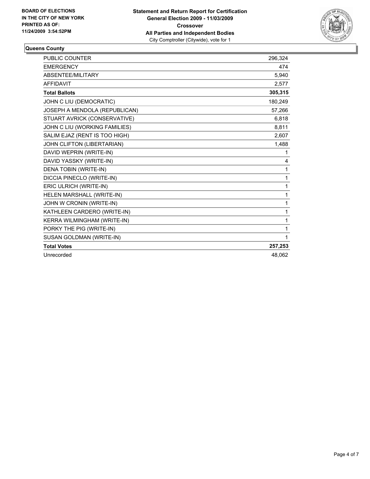

#### **Queens County**

| <b>PUBLIC COUNTER</b>         | 296,324      |
|-------------------------------|--------------|
| <b>EMERGENCY</b>              | 474          |
| <b>ABSENTEE/MILITARY</b>      | 5.940        |
| <b>AFFIDAVIT</b>              | 2,577        |
| <b>Total Ballots</b>          | 305,315      |
| JOHN C LIU (DEMOCRATIC)       | 180,249      |
| JOSEPH A MENDOLA (REPUBLICAN) | 57,266       |
| STUART AVRICK (CONSERVATIVE)  | 6,818        |
| JOHN C LIU (WORKING FAMILIES) | 8,811        |
| SALIM EJAZ (RENT IS TOO HIGH) | 2,607        |
| JOHN CLIFTON (LIBERTARIAN)    | 1,488        |
| DAVID WEPRIN (WRITE-IN)       | 1            |
| DAVID YASSKY (WRITE-IN)       | 4            |
| DENA TOBIN (WRITE-IN)         | 1            |
| DICCIA PINECLO (WRITE-IN)     | $\mathbf{1}$ |
| ERIC ULRICH (WRITE-IN)        | 1            |
| HELEN MARSHALL (WRITE-IN)     | $\mathbf{1}$ |
| JOHN W CRONIN (WRITE-IN)      | 1            |
| KATHLEEN CARDERO (WRITE-IN)   | $\mathbf{1}$ |
| KERRA WILMINGHAM (WRITE-IN)   | 1            |
| PORKY THE PIG (WRITE-IN)      | 1            |
| SUSAN GOLDMAN (WRITE-IN)      | $\mathbf 1$  |
| <b>Total Votes</b>            | 257,253      |
| Unrecorded                    | 48,062       |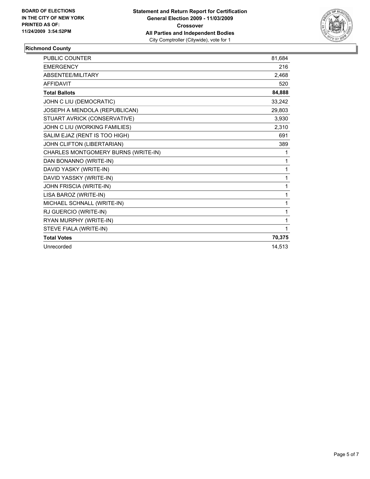

## **Richmond County**

| <b>PUBLIC COUNTER</b>               | 81,684 |
|-------------------------------------|--------|
| <b>EMERGENCY</b>                    | 216    |
| ABSENTEE/MILITARY                   | 2,468  |
| <b>AFFIDAVIT</b>                    | 520    |
| <b>Total Ballots</b>                | 84,888 |
| JOHN C LIU (DEMOCRATIC)             | 33,242 |
| JOSEPH A MENDOLA (REPUBLICAN)       | 29,803 |
| STUART AVRICK (CONSERVATIVE)        | 3,930  |
| JOHN C LIU (WORKING FAMILIES)       | 2,310  |
| SALIM EJAZ (RENT IS TOO HIGH)       | 691    |
| JOHN CLIFTON (LIBERTARIAN)          | 389    |
| CHARLES MONTGOMERY BURNS (WRITE-IN) | 1      |
| DAN BONANNO (WRITE-IN)              | 1      |
| DAVID YASKY (WRITE-IN)              | 1      |
| DAVID YASSKY (WRITE-IN)             | 1      |
| JOHN FRISCIA (WRITE-IN)             | 1      |
| LISA BAROZ (WRITE-IN)               | 1      |
| MICHAEL SCHNALL (WRITE-IN)          | 1      |
| RJ GUERCIO (WRITE-IN)               | 1      |
| RYAN MURPHY (WRITE-IN)              | 1      |
| STEVE FIALA (WRITE-IN)              | 1      |
| <b>Total Votes</b>                  | 70,375 |
| Unrecorded                          | 14.513 |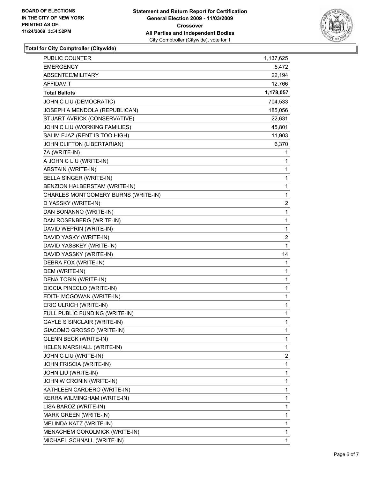

### **Total for City Comptroller (Citywide)**

| <b>PUBLIC COUNTER</b>               | 1,137,625 |
|-------------------------------------|-----------|
| <b>EMERGENCY</b>                    | 5,472     |
| ABSENTEE/MILITARY                   | 22,194    |
| AFFIDAVIT                           | 12,766    |
| <b>Total Ballots</b>                | 1,178,057 |
| JOHN C LIU (DEMOCRATIC)             | 704,533   |
| JOSEPH A MENDOLA (REPUBLICAN)       | 185,056   |
| STUART AVRICK (CONSERVATIVE)        | 22,631    |
| JOHN C LIU (WORKING FAMILIES)       | 45,801    |
| SALIM EJAZ (RENT IS TOO HIGH)       | 11,903    |
| JOHN CLIFTON (LIBERTARIAN)          | 6,370     |
| 7A (WRITE-IN)                       | 1         |
| A JOHN C LIU (WRITE-IN)             | 1         |
| ABSTAIN (WRITE-IN)                  | 1         |
| BELLA SINGER (WRITE-IN)             | 1         |
| BENZION HALBERSTAM (WRITE-IN)       | 1         |
| CHARLES MONTGOMERY BURNS (WRITE-IN) | 1         |
| D YASSKY (WRITE-IN)                 | 2         |
| DAN BONANNO (WRITE-IN)              | 1         |
| DAN ROSENBERG (WRITE-IN)            | 1         |
| DAVID WEPRIN (WRITE-IN)             | 1         |
| DAVID YASKY (WRITE-IN)              | 2         |
| DAVID YASSKEY (WRITE-IN)            | 1         |
| DAVID YASSKY (WRITE-IN)             | 14        |
| DEBRA FOX (WRITE-IN)                | 1         |
| DEM (WRITE-IN)                      | 1         |
| DENA TOBIN (WRITE-IN)               | 1         |
| DICCIA PINECLO (WRITE-IN)           | 1         |
| EDITH MCGOWAN (WRITE-IN)            | 1         |
| ERIC ULRICH (WRITE-IN)              | 1         |
| FULL PUBLIC FUNDING (WRITE-IN)      | 1         |
| <b>GAYLE S SINCLAIR (WRITE-IN)</b>  | 1         |
| GIACOMO GROSSO (WRITE-IN)           | 1         |
| <b>GLENN BECK (WRITE-IN)</b>        | 1         |
| HELEN MARSHALL (WRITE-IN)           | 1         |
| JOHN C LIU (WRITE-IN)               | 2         |
| JOHN FRISCIA (WRITE-IN)             | 1         |
| JOHN LIU (WRITE-IN)                 | 1         |
| JOHN W CRONIN (WRITE-IN)            | 1         |
| KATHLEEN CARDERO (WRITE-IN)         | 1         |
| KERRA WILMINGHAM (WRITE-IN)         | 1         |
| LISA BAROZ (WRITE-IN)               | 1         |
| MARK GREEN (WRITE-IN)               | 1         |
| MELINDA KATZ (WRITE-IN)             | 1         |
| MENACHEM GOROLMICK (WRITE-IN)       | 1         |
| MICHAEL SCHNALL (WRITE-IN)          | 1         |